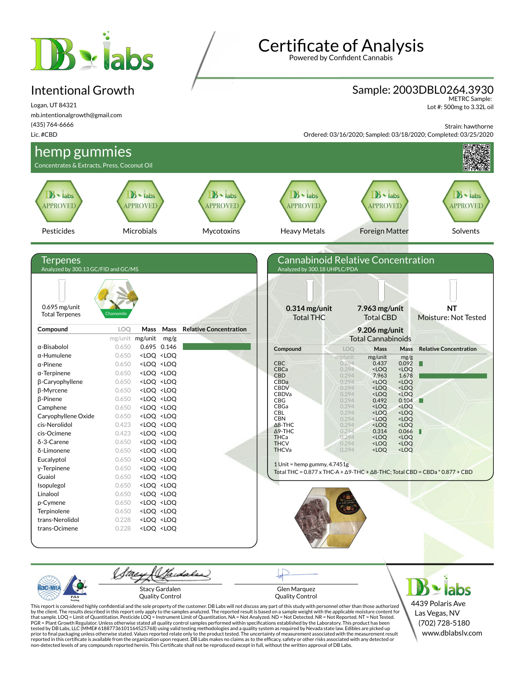# **B** siabs

### Intentional Growth

Logan, UT 84321 mb.intentionalgrowth@gmail.com (435) 764-6666 Lic. #CBD

Certificate of Analysis

Powered by Confident Cannabis

#### Sample: 2003DBL0264.3930

METRC Sample: Lot #: 500mg to 3.32L oil

Strain: hawthorne

Ordered: 03/16/2020; Sampled: 03/18/2020; Completed: 03/25/2020





Glen Marquez Quality Control

4439 Polaris Ave Las Vegas, NV (702) 728-5180 www.dblabslv.com

This report is considered highly confidential and the sole property of the customer. DB Labs will not discuss any part of this study with personnel other than those authorized<br>by the client. The results described in this r tested by DB Labs, LLC (MME# 61887736101164525768) using valid testing methodologies and a quality system as required by Nevada state law. Edibles are picked up<br>prior to final packaging unless otherwise stated. Values repo